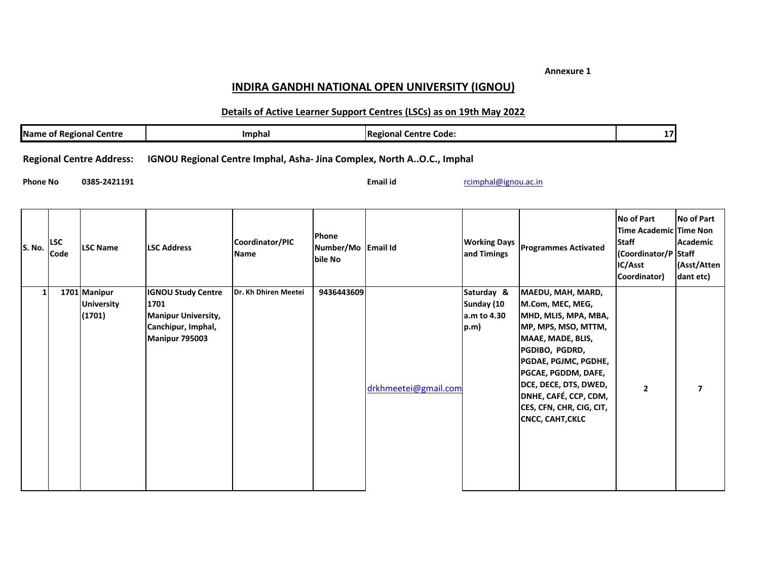**Annexure 1**

## **INDIRA GANDHI NATIONAL OPEN UNIVERSITY (IGNOU)**

## **Details of Active Learner Support Centres (LSCs) as on 19th May 2022**

| <b>Name of Regional Centre</b> |                    |                                             | Imphal                                                                                                  |                                |                                        | <b>Regional Centre Code:</b>                                          | 17                                              |                                                                                                                                                                                                                                                                                     |                                                                                                                |                                                           |
|--------------------------------|--------------------|---------------------------------------------|---------------------------------------------------------------------------------------------------------|--------------------------------|----------------------------------------|-----------------------------------------------------------------------|-------------------------------------------------|-------------------------------------------------------------------------------------------------------------------------------------------------------------------------------------------------------------------------------------------------------------------------------------|----------------------------------------------------------------------------------------------------------------|-----------------------------------------------------------|
|                                |                    | <b>Regional Centre Address:</b>             |                                                                                                         |                                |                                        | IGNOU Regional Centre Imphal, Asha- Jina Complex, North AO.C., Imphal |                                                 |                                                                                                                                                                                                                                                                                     |                                                                                                                |                                                           |
| <b>Phone No</b>                |                    | 0385-2421191                                |                                                                                                         |                                |                                        | Email id                                                              | rcimphal@ignou.ac.in                            |                                                                                                                                                                                                                                                                                     |                                                                                                                |                                                           |
| S. No.                         | <b>LSC</b><br>Code | <b>LSC Name</b>                             | <b>LSC Address</b>                                                                                      | Coordinator/PIC<br><b>Name</b> | Phone<br>Number/Mo Email Id<br>bile No |                                                                       | <b>Working Days</b><br>and Timings              | <b>Programmes Activated</b>                                                                                                                                                                                                                                                         | <b>No of Part</b><br>Time Academic Time Non<br><b>Staff</b><br>(Coordinator/P Staff<br>IC/Asst<br>Coordinator) | <b>No of Part</b><br>Academic<br>(Asst/Atten<br>dant etc) |
| 1                              |                    | 1701 Manipur<br><b>University</b><br>(1701) | <b>IGNOU Study Centre</b><br>1701<br><b>Manipur University,</b><br>Canchipur, Imphal,<br>Manipur 795003 | Dr. Kh Dhiren Meetei           | 9436443609                             | drkhmeetei@gmail.com                                                  | Saturday &<br>Sunday (10<br>a.m to 4.30<br>p.m) | MAEDU, MAH, MARD,<br>M.Com, MEC, MEG,<br>MHD, MLIS, MPA, MBA,<br>MP, MPS, MSO, MTTM,<br>MAAE, MADE, BLIS,<br>PGDIBO, PGDRD,<br>PGDAE, PGJMC, PGDHE,<br>PGCAE, PGDDM, DAFE,<br>DCE, DECE, DTS, DWED,<br>DNHE, CAFÉ, CCP, CDM,<br>CES, CFN, CHR, CIG, CIT,<br><b>CNCC, CAHT, CKLC</b> | $\mathbf{2}$                                                                                                   | $\overline{7}$                                            |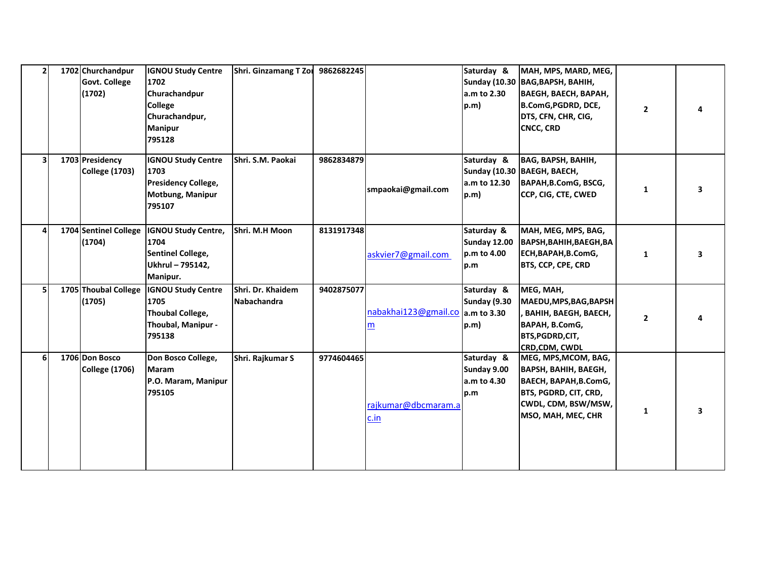| $\overline{2}$ | 1702 Churchandpur<br><b>Govt. College</b><br>(1702) | <b>IGNOU Study Centre</b><br>1702<br>Churachandpur<br><b>College</b><br>Churachandpur,<br><b>Manipur</b><br>795128 | <b>Shri. Ginzamang T Zor</b>     | 9862682245 |                                       | Saturday &<br>a.m to 2.30<br>p.m)                | MAH, MPS, MARD, MEG,<br>Sunday (10.30   BAG, BAPSH, BAHIH,<br><b>ВАЕGH, ВАЕСН, ВАРАН,</b><br>B.ComG, PGDRD, DCE,<br>DTS, CFN, CHR, CIG,<br><b>CNCC, CRD</b> | $\mathbf{2}$ |    |
|----------------|-----------------------------------------------------|--------------------------------------------------------------------------------------------------------------------|----------------------------------|------------|---------------------------------------|--------------------------------------------------|-------------------------------------------------------------------------------------------------------------------------------------------------------------|--------------|----|
| 3              | 1703 Presidency<br><b>College (1703)</b>            | <b>IGNOU Study Centre</b><br>1703<br>Presidency College,<br>Motbung, Manipur<br>795107                             | Shri. S.M. Paokai                | 9862834879 | smpaokai@gmail.com                    | Saturday &<br>a.m to 12.30<br>p.m)               | <b>BAG, BAPSH, BAHIH,</b><br>Sunday (10.30   BAEGH, BAECH,<br>BAPAH, B.ComG, BSCG,<br>CCP, CIG, CTE, CWED                                                   | 1            | з  |
| 4              | 1704 Sentinel College<br>(1704)                     | <b>IGNOU Study Centre,</b><br>1704<br><b>Sentinel College,</b><br>Ukhrul - 795142,<br>Manipur.                     | Shri. M.H Moon                   | 8131917348 | askvier7@gmail.com                    | Saturday &<br>Sunday 12.00<br>p.m to 4.00<br>p.m | MAH, MEG, MPS, BAG,<br><b>ВАРЅН, ВАНІН, ВАЕGH, ВА</b><br>ECH, BAPAH, B.ComG,<br>BTS, CCP, CPE, CRD                                                          | 1            | 3. |
| 5              | 1705 Thoubal College<br>(1705)                      | <b>IGNOU Study Centre</b><br>1705<br><b>Thoubal College,</b><br>Thoubal, Manipur -<br>795138                       | Shri. Dr. Khaidem<br>Nabachandra | 9402875077 | nabakhai123@gmail.co a.m to 3.30<br>m | Saturday &<br>Sunday (9.30<br>p.m)               | MEG, MAH,<br>MAEDU, MPS, BAG, BAPSH<br>ВАНІН, ВАЕGН, ВАЕСН,<br>BAPAH, B.ComG,<br>BTS, PGDRD, CIT,<br>CRD,CDM, CWDL                                          | $\mathbf{2}$ |    |
| 6              | 1706 Don Bosco<br><b>College (1706)</b>             | Don Bosco College,<br>Maram<br>P.O. Maram, Manipur<br>795105                                                       | Shri. Rajkumar S                 | 9774604465 | rajkumar@dbcmaram.a<br>c.in           | Saturday &<br>Sunday 9.00<br>a.m to 4.30<br>p.m  | MEG, MPS, MCOM, BAG,<br><b>BAPSH, BAHIH, BAEGH,</b><br>BAECH, BAPAH, B.ComG,<br>BTS, PGDRD, CIT, CRD,<br>CWDL, CDM, BSW/MSW,<br>MSO, MAH, MEC, CHR          | 1            |    |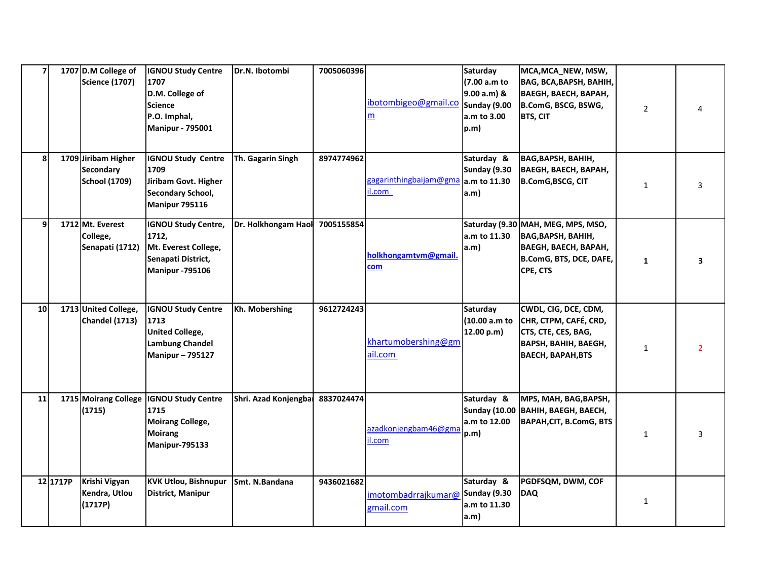| $\overline{\mathbf{z}}$ |          | 1707 D.M College of<br><b>Science (1707)</b>                    | <b>IGNOU Study Centre</b><br>1707<br>D.M. College of<br><b>Science</b><br>P.O. Imphal,<br><b>Manipur - 795001</b> | Dr.N. Ibotombi       | 7005060396 | ibotombigeo@gmail.co<br>m         | Saturday<br>(7.00 a.m to<br>9.00 a.m) &<br>Sunday (9.00<br>a.m to 3.00<br>p.m) | MCA, MCA_NEW, MSW,<br><b>BAG, BCA, BAPSH, BAHIH,</b><br><b>ВАЕGH, ВАЕСН, ВАРАН,</b><br>B.ComG, BSCG, BSWG,<br><b>BTS, CIT</b>         | $\overline{2}$ |   |
|-------------------------|----------|-----------------------------------------------------------------|-------------------------------------------------------------------------------------------------------------------|----------------------|------------|-----------------------------------|--------------------------------------------------------------------------------|---------------------------------------------------------------------------------------------------------------------------------------|----------------|---|
| 8                       |          | 1709 Jiribam Higher<br><b>Secondary</b><br><b>School (1709)</b> | <b>IGNOU Study Centre</b><br>1709<br>Jiribam Govt. Higher<br><b>Secondary School,</b><br>Manipur 795116           | Th. Gagarin Singh    | 8974774962 | gagarinthing baijam@gma<br>il.com | Saturday &<br>Sunday (9.30<br>a.m to 11.30<br>a.m)                             | <b>ВАG, ВАРЅН, ВАНІН,</b><br><b>ВАЕGH, ВАЕСН, ВАРАН,</b><br><b>B.ComG,BSCG, CIT</b>                                                   | 1              | 3 |
| 9                       |          | 1712 Mt. Everest<br>College,<br>Senapati (1712)                 | <b>IGNOU Study Centre,</b><br>1712,<br>Mt. Everest College,<br>Senapati District,<br><b>Manipur -795106</b>       | Dr. Holkhongam Haol  | 7005155854 | holkhongamtvm@gmail<br>com        | a.m to 11.30<br>a.m)                                                           | Saturday (9.30 MAH, MEG, MPS, MSO,<br><b>ВАG, ВАРЅН, ВАНІН,</b><br><b>ВАЕGH, ВАЕСН, ВАРАН,</b><br>B.ComG, BTS, DCE, DAFE,<br>CPE, CTS | 1              |   |
| 10 <sub>l</sub>         |          | 1713 United College,<br>Chandel (1713)                          | <b>IGNOU Study Centre</b><br>1713<br><b>United College,</b><br><b>Lambung Chandel</b><br><b>Manipur-795127</b>    | Kh. Mobershing       | 9612724243 | khartumobershing@gm<br>ail.com    | Saturday<br>(10.00 a.m to<br>12.00 p.m)                                        | CWDL, CIG, DCE, CDM,<br>CHR, CTPM, CAFÉ, CRD,<br>CTS, CTE, CES, BAG,<br><b>BAPSH, BAHIH, BAEGH,</b><br><b>BAECH, BAPAH, BTS</b>       | $\mathbf{1}$   | 2 |
| 11                      |          | 1715 Moirang College<br>(1715)                                  | <b>IGNOU Study Centre</b><br>1715<br><b>Moirang College,</b><br><b>Moirang</b><br>Manipur-795133                  | Shri. Azad Konjengba | 8837024474 | azadkonjengbam46@gma<br>il.com    | Saturday &<br>a.m to 12.00<br>p.m)                                             | MPS, MAH, BAG, BAPSH,<br>Sunday (10.00   BAHIH, BAEGH, BAECH,<br>BAPAH, CIT, B.ComG, BTS                                              | 1              | 3 |
|                         | 12 1717P | Krishi Vigyan<br>Kendra, Utlou<br>(1717P)                       | <b>KVK Utlou, Bishnupur</b><br><b>District, Manipur</b>                                                           | Smt. N.Bandana       | 9436021682 | imotombadrrajkumar@<br>gmail.com  | Saturday &<br>Sunday (9.30<br>a.m to 11.30<br>a.m)                             | PGDFSQM, DWM, COF<br><b>DAQ</b>                                                                                                       | $\mathbf{1}$   |   |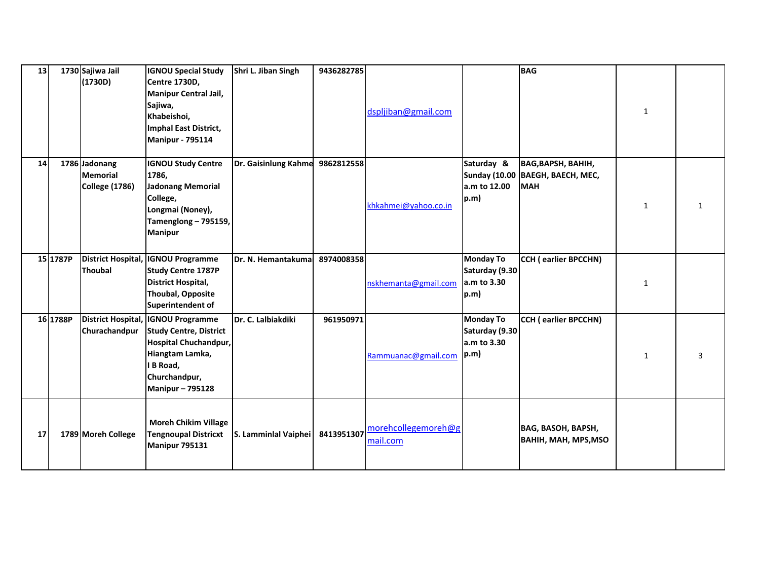| 13 |          | 1730 Sajiwa Jail          | <b>IGNOU Special Study</b>                           | Shri L. Jiban Singh  | 9436282785 |                      |                  | <b>BAG</b>                         |              |   |
|----|----------|---------------------------|------------------------------------------------------|----------------------|------------|----------------------|------------------|------------------------------------|--------------|---|
|    |          | (1730D)                   | <b>Centre 1730D,</b><br><b>Manipur Central Jail,</b> |                      |            |                      |                  |                                    |              |   |
|    |          |                           | Sajiwa,                                              |                      |            |                      |                  |                                    |              |   |
|    |          |                           | Khabeishoi,                                          |                      |            | dspljiban@gmail.com  |                  |                                    | 1            |   |
|    |          |                           | <b>Imphal East District,</b>                         |                      |            |                      |                  |                                    |              |   |
|    |          |                           | <b>Manipur - 795114</b>                              |                      |            |                      |                  |                                    |              |   |
|    |          |                           |                                                      |                      |            |                      |                  |                                    |              |   |
| 14 |          | 1786 Jadonang             | <b>IGNOU Study Centre</b>                            | Dr. Gaisinlung Kahme | 9862812558 |                      | Saturday &       | <b>ВАG, ВАРЅН, ВАНІН,</b>          |              |   |
|    |          | <b>Memorial</b>           | 1786,                                                |                      |            |                      |                  | Sunday (10.00   BAEGH, BAECH, MEC, |              |   |
|    |          | <b>College (1786)</b>     | Jadonang Memorial                                    |                      |            |                      | a.m to 12.00     | <b>MAH</b>                         |              |   |
|    |          |                           | College,                                             |                      |            | khkahmei@yahoo.co.in | p.m)             |                                    |              |   |
|    |          |                           | Longmai (Noney),                                     |                      |            |                      |                  |                                    | 1            |   |
|    |          |                           | Tamenglong - 795159,                                 |                      |            |                      |                  |                                    |              |   |
|    |          |                           | <b>Manipur</b>                                       |                      |            |                      |                  |                                    |              |   |
|    |          |                           |                                                      |                      |            |                      |                  |                                    |              |   |
|    | 15 1787P | <b>District Hospital,</b> | <b>IGNOU Programme</b>                               | Dr. N. Hemantakuma   | 8974008358 |                      | <b>Monday To</b> | CCH (earlier BPCCHN)               |              |   |
|    |          | <b>Thoubal</b>            | <b>Study Centre 1787P</b>                            |                      |            |                      | Saturday (9.30   |                                    |              |   |
|    |          |                           | <b>District Hospital,</b>                            |                      |            | nskhemanta@gmail.com | a.m to 3.30      |                                    | $\mathbf{1}$ |   |
|    |          |                           | Thoubal, Opposite                                    |                      |            |                      | p.m)             |                                    |              |   |
|    |          |                           | Superintendent of                                    |                      |            |                      |                  |                                    |              |   |
|    | 16 1788P |                           | District Hospital, IGNOU Programme                   | Dr. C. Lalbiakdiki   | 961950971  |                      | <b>Monday To</b> | <b>CCH (earlier BPCCHN)</b>        |              |   |
|    |          | Churachandpur             | <b>Study Centre, District</b>                        |                      |            |                      | Saturday (9.30   |                                    |              |   |
|    |          |                           | Hospital Chuchandpur,                                |                      |            |                      | a.m to 3.30      |                                    |              |   |
|    |          |                           | Hiangtam Lamka,<br>I B Road,                         |                      |            | Rammuanac@gmail.com  | $ p.m\rangle$    |                                    | 1            | 3 |
|    |          |                           | Churchandpur,                                        |                      |            |                      |                  |                                    |              |   |
|    |          |                           | <b>Manipur-795128</b>                                |                      |            |                      |                  |                                    |              |   |
|    |          |                           |                                                      |                      |            |                      |                  |                                    |              |   |
|    |          |                           |                                                      |                      |            |                      |                  |                                    |              |   |
|    |          |                           | <b>Moreh Chikim Village</b>                          |                      |            | morehcollegemoreh@g  |                  | BAG, BASOH, BAPSH,                 |              |   |
| 17 |          | 1789 Moreh College        | <b>Tengnoupal Districxt</b>                          | S. Lamminlal Vaiphei | 8413951307 | mail.com             |                  | BAHIH, MAH, MPS, MSO               |              |   |
|    |          |                           | Manipur 795131                                       |                      |            |                      |                  |                                    |              |   |
|    |          |                           |                                                      |                      |            |                      |                  |                                    |              |   |